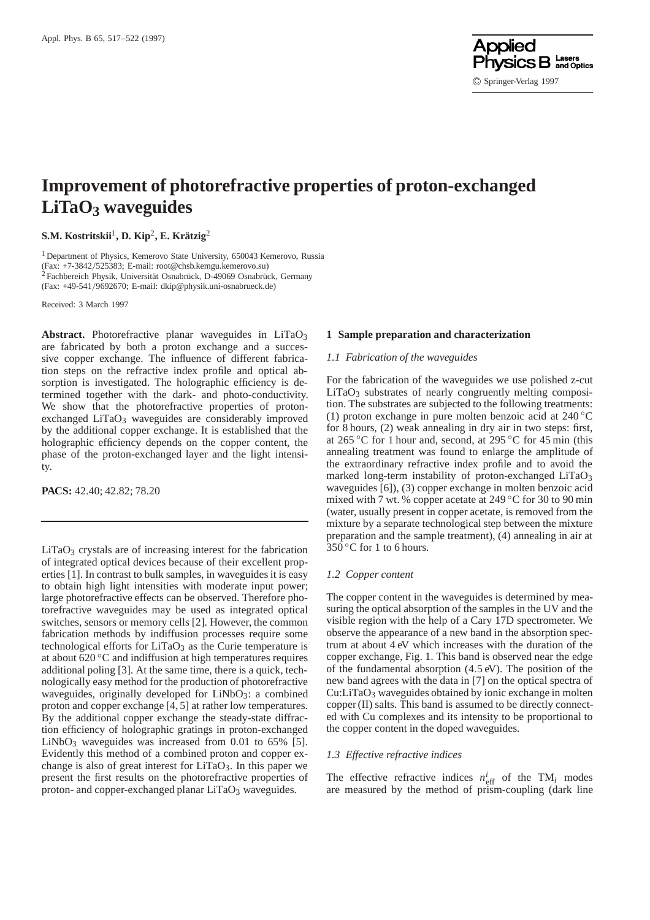

# **Improvement of photorefractive properties of proton-exchanged LiTaO3 waveguides**

# **S.M. Kostritskii**1**, D. Kip**2**, E. Krätzig**<sup>2</sup>

<sup>1</sup> Department of Physics, Kemerovo State University, 650043 Kemerovo, Russia (Fax: +7-3842/525383; E-mail: root@chsb.kemgu.kemerovo.su) <sup>2</sup> Fachbereich Physik, Universität Osnabrück, D-49069 Osnabrück, Germany (Fax: +49-541/9692670; E-mail: dkip@physik.uni-osnabrueck.de)

Received: 3 March 1997

Abstract. Photorefractive planar waveguides in LiTaO<sub>3</sub> are fabricated by both a proton exchange and a successive copper exchange. The influence of different fabrication steps on the refractive index profile and optical absorption is investigated. The holographic efficiency is determined together with the dark- and photo-conductivity. We show that the photorefractive properties of protonexchanged  $LiTaO<sub>3</sub>$  waveguides are considerably improved by the additional copper exchange. It is established that the holographic efficiency depends on the copper content, the phase of the proton-exchanged layer and the light intensity.

**PACS:** 42.40; 42.82; 78.20

 $LiTaO<sub>3</sub>$  crystals are of increasing interest for the fabrication of integrated optical devices because of their excellent properties [1]. In contrast to bulk samples, in waveguides it is easy to obtain high light intensities with moderate input power; large photorefractive effects can be observed. Therefore photorefractive waveguides may be used as integrated optical switches, sensors or memory cells [2]. However, the common fabrication methods by indiffusion processes require some technological efforts for  $LiTaO<sub>3</sub>$  as the Curie temperature is at about 620 ◦C and indiffusion at high temperatures requires additional poling [3]. At the same time, there is a quick, technologically easy method for the production of photorefractive waveguides, originally developed for LiNbO<sub>3</sub>: a combined proton and copper exchange [4, 5] at rather low temperatures. By the additional copper exchange the steady-state diffraction efficiency of holographic gratings in proton-exchanged  $LiNbO<sub>3</sub>$  waveguides was increased from 0.01 to 65% [5]. Evidently this method of a combined proton and copper exchange is also of great interest for  $LiTaO<sub>3</sub>$ . In this paper we present the first results on the photorefractive properties of proton- and copper-exchanged planar  $LiTaO<sub>3</sub>$  waveguides.

# **1 Sample preparation and characterization**

## *1.1 Fabrication of the waveguides*

For the fabrication of the waveguides we use polished z-cut  $LiTaO<sub>3</sub>$  substrates of nearly congruently melting composition. The substrates are subjected to the following treatments: (1) proton exchange in pure molten benzoic acid at  $240\degree$ C for 8 hours, (2) weak annealing in dry air in two steps: first, at 265 °C for 1 hour and, second, at 295 °C for 45 min (this annealing treatment was found to enlarge the amplitude of the extraordinary refractive index profile and to avoid the marked long-term instability of proton-exchanged  $LiTaO<sub>3</sub>$ waveguides [6]), (3) copper exchange in molten benzoic acid mixed with 7 wt. % copper acetate at 249 ◦C for 30 to 90 min (water, usually present in copper acetate, is removed from the mixture by a separate technological step between the mixture preparation and the sample treatment), (4) annealing in air at  $350^{\circ}$ C for 1 to 6 hours.

#### *1.2 Copper content*

The copper content in the waveguides is determined by measuring the optical absorption of the samples in the UV and the visible region with the help of a Cary 17D spectrometer. We observe the appearance of a new band in the absorption spectrum at about 4 eV which increases with the duration of the copper exchange, Fig. 1. This band is observed near the edge of the fundamental absorption (4.5 eV). The position of the new band agrees with the data in [7] on the optical spectra of Cu:LiTaO3 waveguides obtained by ionic exchange in molten copper (II) salts. This band is assumed to be directly connected with Cu complexes and its intensity to be proportional to the copper content in the doped waveguides.

#### *1.3 Effective refractive indices*

The effective refractive indices  $n_{\text{eff}}^i$  of the TM<sub>*i*</sub> modes are measured by the method of prism-coupling (dark line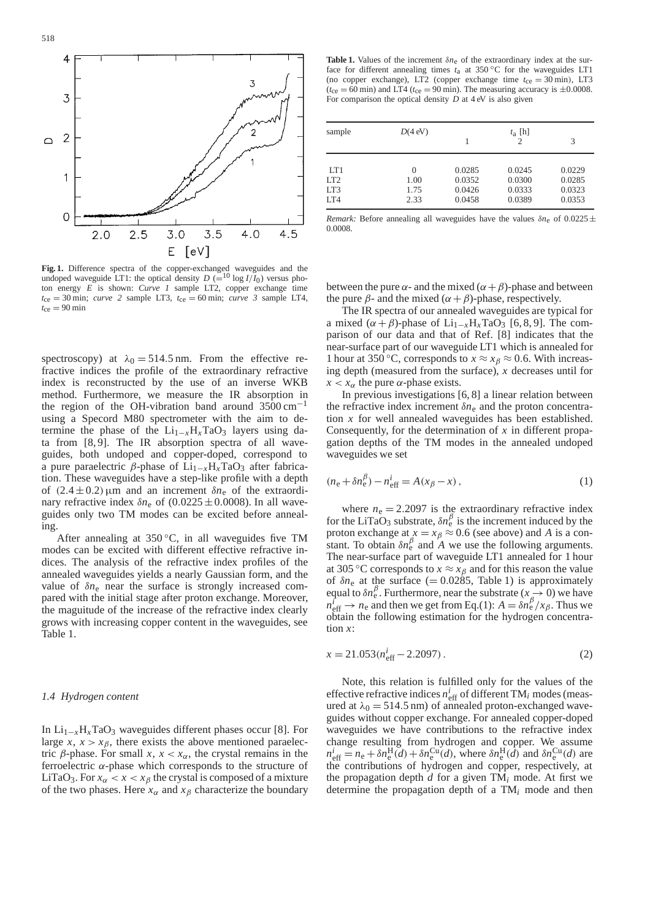

**Fig. 1.** Difference spectra of the copper-exchanged waveguides and the undoped waveguide LT1: the optical density  $D = \left(\frac{10}{10}\right)$  versus photon energy *E* is shown: *Curve 1* sample LT2, copper exchange time  $t_{ce} = 30$  min; *curve* 2 sample LT3,  $t_{ce} = 60$  min; *curve* 3 sample LT4,  $t_{\rm ce} = 90 \text{ min}$ 

spectroscopy) at  $\lambda_0 = 514.5$  nm. From the effective refractive indices the profile of the extraordinary refractive index is reconstructed by the use of an inverse WKB method. Furthermore, we measure the IR absorption in the region of the OH-vibration band around 3500 cm−<sup>1</sup> using a Specord M80 spectrometer with the aim to determine the phase of the  $Li_{1-x}H_xTaO_3$  layers using data from [8, 9]. The IR absorption spectra of all waveguides, both undoped and copper-doped, correspond to a pure paraelectric β-phase of  $Li_{1-x}H_xTaO_3$  after fabrication. These waveguides have a step-like profile with a depth of  $(2.4 \pm 0.2)$  µm and an increment  $\delta n_e$  of the extraordinary refractive index  $\delta n_e$  of (0.0225  $\pm$  0.0008). In all waveguides only two TM modes can be excited before annealing.

After annealing at  $350^{\circ}$ C, in all waveguides five TM modes can be excited with different effective refractive indices. The analysis of the refractive index profiles of the annealed waveguides yields a nearly Gaussian form, and the value of δ*n*<sup>e</sup> near the surface is strongly increased compared with the initial stage after proton exchange. Moreover, the maguitude of the increase of the refractive index clearly grows with increasing copper content in the waveguides, see Table 1.

## *1.4 Hydrogen content*

In Li1−*x*H*x*TaO3 waveguides different phases occur [8]. For large *x*,  $x > x<sub>\beta</sub>$ , there exists the above mentioned paraelectric β-phase. For small *x*,  $x < x<sub>α</sub>$ , the crystal remains in the ferroelectric α-phase which corresponds to the structure of LiTaO<sub>3</sub>. For  $x_\alpha < x < x_\beta$  the crystal is composed of a mixture of the two phases. Here  $x_\alpha$  and  $x_\beta$  characterize the boundary

**Table 1.** Values of the increment  $\delta n_e$  of the extraordinary index at the surface for different annealing times  $t_a$  at 350 °C for the waveguides LT1 (no copper exchange), LT2 (copper exchange time  $t_{ce} = 30$  min), LT3  $(t_{ce} = 60 \text{ min})$  and LT4 ( $t_{ce} = 90 \text{ min}$ ). The measuring accuracy is  $\pm 0.0008$ . For comparison the optical density *D* at 4 eV is also given

| sample | $D(4$ eV) |        | $t_a$ [h]<br>$\mathcal{D}$ | 3      |
|--------|-----------|--------|----------------------------|--------|
| LT1    | 0         | 0.0285 | 0.0245                     | 0.0229 |
| LT2    | 1.00      | 0.0352 | 0.0300                     | 0.0285 |
| LT3    | 1.75      | 0.0426 | 0.0333                     | 0.0323 |
| IT4    | 2.33      | 0.0458 | 0.0389                     | 0.0353 |

*Remark:* Before annealing all waveguides have the values  $\delta n_e$  of  $0.0225 \pm$ 0.0008.

between the pure  $\alpha$ - and the mixed ( $\alpha + \beta$ )-phase and between the pure  $\beta$ - and the mixed ( $\alpha + \beta$ )-phase, respectively.

The IR spectra of our annealed waveguides are typical for a mixed  $(\alpha + \beta)$ -phase of Li<sub>1−*x*</sub>H<sub>*x*</sub>TaO<sub>3</sub> [6, 8, 9]. The comparison of our data and that of Ref. [8] indicates that the near-surface part of our waveguide LT1 which is annealed for 1 hour at 350 °C, corresponds to  $x \approx x_\beta \approx 0.6$ . With increasing depth (measured from the surface), *x* decreases until for  $x < x_\alpha$  the pure  $\alpha$ -phase exists.

In previous investigations [6, 8] a linear relation between the refractive index increment  $\delta n_e$  and the proton concentration *x* for well annealed waveguides has been established. Consequently, for the determination of *x* in different propagation depths of the TM modes in the annealed undoped waveguides we set

$$
(n_e + \delta n_e^{\beta}) - n_{\text{eff}}^i = A(x_{\beta} - x), \qquad (1)
$$

where  $n_e = 2.2097$  is the extraordinary refractive index for the LiTaO<sub>3</sub> substrate,  $\delta n_e^{\beta}$  is the increment induced by the proton exchange at  $x = x_\beta \approx 0.6$  (see above) and *A* is a constant. To obtain  $\delta n_e^{\beta}$  and *A* we use the following arguments. The near-surface part of waveguide LT1 annealed for 1 hour at 305 °C corresponds to  $x \approx x_\beta$  and for this reason the value of  $\delta n_e$  at the surface (= 0.0285, Table 1) is approximately equal to  $\delta n_e^{\beta}$ . Furthermore, near the substrate ( $x \to 0$ ) we have  $n_{\text{eff}}^i \rightarrow n_{\text{e}}$  and then we get from Eq.(1):  $A = \delta n_{\text{e}}^\beta / x_\beta$ . Thus we obtain the following estimation for the hydrogen concentration *x*:

$$
x = 21.053(neffi - 2.2097).
$$
 (2)

Note, this relation is fulfilled only for the values of the effective refractive indices  $n_{\text{eff}}^i$  of different TM<sub>i</sub> modes (measured at  $\lambda_0 = 514.5$  nm) of annealed proton-exchanged waveguides without copper exchange. For annealed copper-doped waveguides we have contributions to the refractive index change resulting from hydrogen and copper. We assume  $n_{\text{eff}}^i = n_{\text{e}} + \delta n_{\text{e}}^{\text{H}}(\bar{d}) + \delta n_{\text{e}}^{\text{Cu}}(d)$ , where  $\delta n_{\text{e}}^{\text{H}}(\bar{d})$  and  $\delta n_{\text{e}}^{\text{Cu}}(d)$  are the contributions of hydrogen and copper, respectively, at the propagation depth  $d$  for a given  $TM_i$  mode. At first we determine the propagation depth of a TM*<sup>i</sup>* mode and then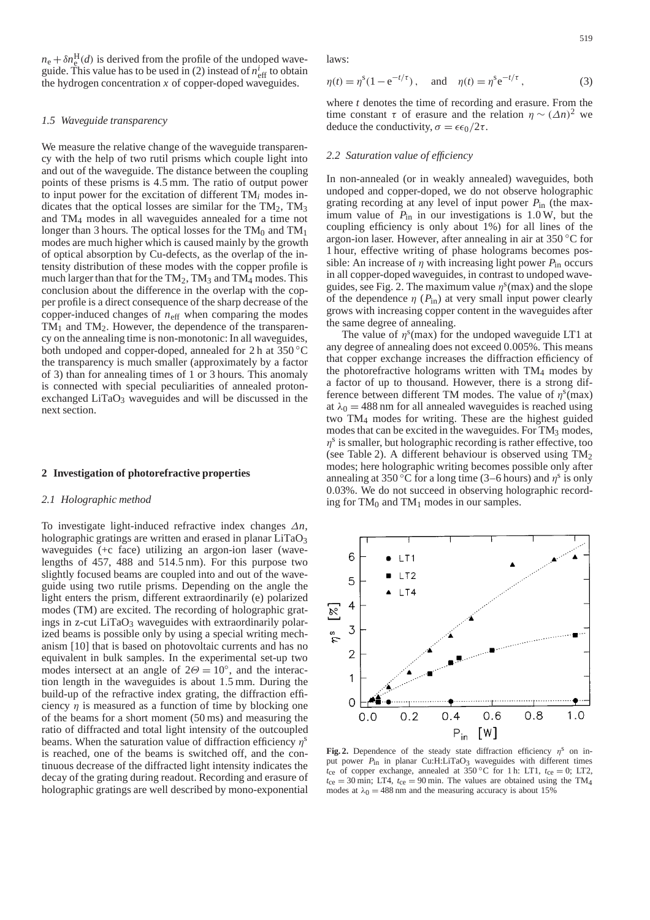$n_e + \delta n_e^{\text{H}}(d)$  is derived from the profile of the undoped waveguide. This value has to be used in (2) instead of  $n_{\text{eff}}^i$  to obtain the hydrogen concentration  $x$  of copper-doped waveguides.

### *1.5 Waveguide transparency*

We measure the relative change of the waveguide transparency with the help of two rutil prisms which couple light into and out of the waveguide. The distance between the coupling points of these prisms is 4.5 mm. The ratio of output power to input power for the excitation of different TM*<sup>i</sup>* modes indicates that the optical losses are similar for the  $TM_2$ ,  $TM_3$ and TM4 modes in all waveguides annealed for a time not longer than 3 hours. The optical losses for the  $TM_0$  and  $TM_1$ modes are much higher which is caused mainly by the growth of optical absorption by Cu-defects, as the overlap of the intensity distribution of these modes with the copper profile is much larger than that for the  $TM_2$ ,  $TM_3$  and  $TM_4$  modes. This conclusion about the difference in the overlap with the copper profile is a direct consequence of the sharp decrease of the copper-induced changes of *n*eff when comparing the modes  $TM_1$  and  $TM_2$ . However, the dependence of the transparency on the annealing time is non-monotonic: In all waveguides, both undoped and copper-doped, annealed for 2 h at 350 ◦C the transparency is much smaller (approximately by a factor of 3) than for annealing times of 1 or 3 hours. This anomaly is connected with special peculiarities of annealed protonexchanged  $LiTaO<sub>3</sub>$  waveguides and will be discussed in the next section.

## **2 Investigation of photorefractive properties**

# *2.1 Holographic method*

To investigate light-induced refractive index changes ∆*n*, holographic gratings are written and erased in planar  $LiTaO<sub>3</sub>$ waveguides (+c face) utilizing an argon-ion laser (wavelengths of 457, 488 and 514.5 nm). For this purpose two slightly focused beams are coupled into and out of the waveguide using two rutile prisms. Depending on the angle the light enters the prism, different extraordinarily (e) polarized modes (TM) are excited. The recording of holographic gratings in z-cut  $LiTaO<sub>3</sub>$  waveguides with extraordinarily polarized beams is possible only by using a special writing mechanism [10] that is based on photovoltaic currents and has no equivalent in bulk samples. In the experimental set-up two modes intersect at an angle of  $2\Theta = 10^\circ$ , and the interaction length in the waveguides is about 1.5 mm. During the build-up of the refractive index grating, the diffraction efficiency  $\eta$  is measured as a function of time by blocking one of the beams for a short moment (50 ms) and measuring the ratio of diffracted and total light intensity of the outcoupled beams. When the saturation value of diffraction efficiency  $\eta^s$ is reached, one of the beams is switched off, and the continuous decrease of the diffracted light intensity indicates the decay of the grating during readout. Recording and erasure of holographic gratings are well described by mono-exponential

laws:

$$
\eta(t) = \eta^{s} (1 - e^{-t/\tau}), \text{ and } \eta(t) = \eta^{s} e^{-t/\tau},
$$
\n(3)

where *t* denotes the time of recording and erasure. From the time constant  $\tau$  of erasure and the relation  $\eta \sim (\Delta n)^2$  we deduce the conductivity,  $\sigma = \epsilon \epsilon_0 / 2\tau$ .

#### *2.2 Saturation value of efficiency*

In non-annealed (or in weakly annealed) waveguides, both undoped and copper-doped, we do not observe holographic grating recording at any level of input power *P*in (the maximum value of  $P_{\text{in}}$  in our investigations is 1.0 W, but the coupling efficiency is only about 1%) for all lines of the argon-ion laser. However, after annealing in air at 350 ◦C for 1 hour, effective writing of phase holograms becomes possible: An increase of  $\eta$  with increasing light power  $P_{in}$  occurs in all copper-doped waveguides, in contrast to undoped waveguides, see Fig. 2. The maximum value  $\eta^s$ (max) and the slope of the dependence  $\eta$  ( $P_{\text{in}}$ ) at very small input power clearly grows with increasing copper content in the waveguides after the same degree of annealing.

The value of  $\eta^s$ (max) for the undoped waveguide LT1 at any degree of annealing does not exceed 0.005%. This means that copper exchange increases the diffraction efficiency of the photorefractive holograms written with  $TM_4$  modes by a factor of up to thousand. However, there is a strong difference between different TM modes. The value of  $\eta^s$ (max) at  $\lambda_0 = 488$  nm for all annealed waveguides is reached using two TM4 modes for writing. These are the highest guided modes that can be excited in the waveguides. For TM<sub>3</sub> modes,  $\eta^s$  is smaller, but holographic recording is rather effective, too (see Table 2). A different behaviour is observed using  $TM_2$ modes; here holographic writing becomes possible only after annealing at 350 °C for a long time (3–6 hours) and  $\eta^s$  is only 0.03%. We do not succeed in observing holographic recording for  $TM_0$  and  $TM_1$  modes in our samples.



**Fig. 2.** Dependence of the steady state diffraction efficiency  $\eta$ <sup>s</sup> on input power  $P_{\text{in}}$  in planar Cu:H:LiTaO<sub>3</sub> waveguides with different times  $t_{ce}$  of copper exchange, annealed at 350 °C for 1 h: LT1,  $t_{ce} = 0$ ; LT2,  $t_{ce} = 30$  min; LT4,  $t_{ce} = 90$  min. The values are obtained using the TM<sub>4</sub> modes at  $\lambda_0 = 488$  nm and the measuring accuracy is about 15%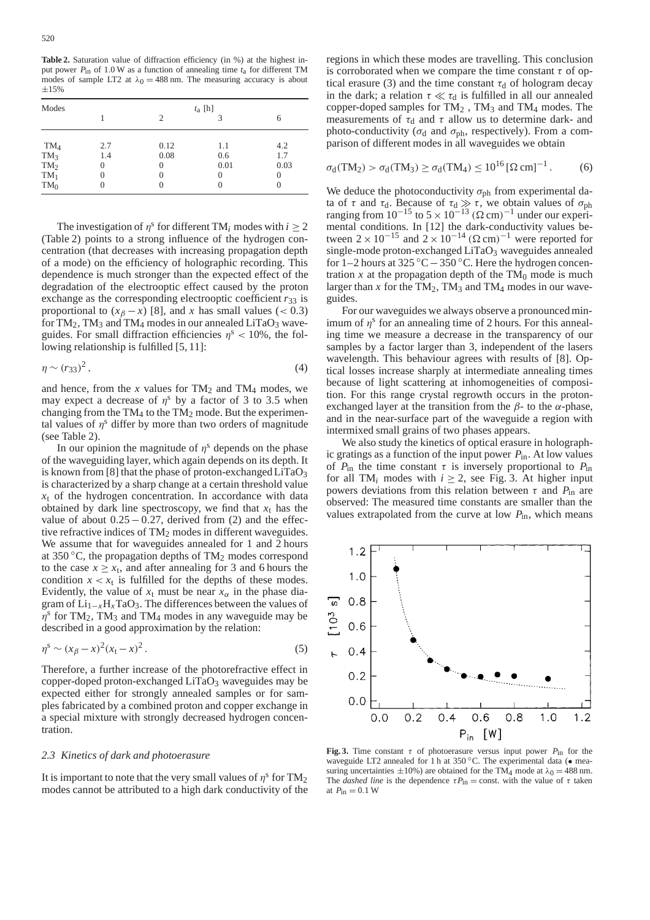**Table 2.** Saturation value of diffraction efficiency (in %) at the highest input power *P*in of 1.0 W as a function of annealing time *t*a for different TM modes of sample LT2 at  $\lambda_0 = 488$  nm. The measuring accuracy is about  $±15%$ 

| Modes  | $t_a$ [h] |      |          |      |  |  |
|--------|-----------|------|----------|------|--|--|
|        |           | 2    | 3        | 6    |  |  |
| $TM_4$ | 2.7       | 0.12 | 1.1      | 4.2  |  |  |
| $TM_3$ | 1.4       | 0.08 | 0.6      | 1.7  |  |  |
| $TM_2$ |           | 0    | 0.01     | 0.03 |  |  |
| $TM_1$ |           | O    | $\theta$ | 0    |  |  |
| $TM_0$ |           |      | $\theta$ | 0    |  |  |

The investigation of  $n<sup>s</sup>$  for different TM<sub>*i*</sub> modes with  $i > 2$ (Table 2) points to a strong influence of the hydrogen concentration (that decreases with increasing propagation depth of a mode) on the efficiency of holographic recording. This dependence is much stronger than the expected effect of the degradation of the electrooptic effect caused by the proton exchange as the corresponding electrooptic coefficient  $r_{33}$  is proportional to  $(x_\beta - x)$  [8], and *x* has small values (< 0.3) for TM<sub>2</sub>, TM<sub>3</sub> and TM<sub>4</sub> modes in our annealed LiTaO<sub>3</sub> waveguides. For small diffraction efficiencies  $\eta$ <sup>s</sup> < 10%, the following relationship is fulfilled [5, 11]:

$$
\eta \sim (r_{33})^2\,,\tag{4}
$$

and hence, from the  $x$  values for  $TM_2$  and  $TM_4$  modes, we may expect a decrease of  $\eta$ <sup>s</sup> by a factor of 3 to 3.5 when changing from the  $TM_4$  to the  $TM_2$  mode. But the experimental values of  $\eta^s$  differ by more than two orders of magnitude (see Table 2).

In our opinion the magnitude of  $\eta^s$  depends on the phase of the waveguiding layer, which again depends on its depth. It is known from [8] that the phase of proton-exchanged  $LiTaO<sub>3</sub>$ is characterized by a sharp change at a certain threshold value  $x_t$  of the hydrogen concentration. In accordance with data obtained by dark line spectroscopy, we find that  $x_t$  has the value of about  $0.25-0.27$ , derived from (2) and the effective refractive indices of  $TM_2$  modes in different waveguides. We assume that for waveguides annealed for 1 and 2 hours at 350  $\degree$ C, the propagation depths of TM<sub>2</sub> modes correspond to the case  $x \geq x_t$ , and after annealing for 3 and 6 hours the condition  $x < x_t$  is fulfilled for the depths of these modes. Evidently, the value of  $x_t$  must be near  $x_\alpha$  in the phase diagram of Li1−*x*H*x*TaO3. The differences between the values of  $\eta^s$  for TM<sub>2</sub>, TM<sub>3</sub> and TM<sub>4</sub> modes in any waveguide may be described in a good approximation by the relation:

$$
\eta^s \sim (x_\beta - x)^2 (x_t - x)^2. \tag{5}
$$

Therefore, a further increase of the photorefractive effect in copper-doped proton-exchanged LiTaO<sub>3</sub> waveguides may be expected either for strongly annealed samples or for samples fabricated by a combined proton and copper exchange in a special mixture with strongly decreased hydrogen concentration.

#### *2.3 Kinetics of dark and photoerasure*

It is important to note that the very small values of  $\eta^s$  for TM<sub>2</sub> modes cannot be attributed to a high dark conductivity of the

regions in which these modes are travelling. This conclusion is corroborated when we compare the time constant  $\tau$  of optical erasure (3) and the time constant  $\tau_d$  of hologram decay in the dark; a relation  $\tau \ll \tau_d$  is fulfilled in all our annealed copper-doped samples for TM2 , TM3 and TM4 modes. The measurements of  $\tau_d$  and  $\tau$  allow us to determine dark- and photo-conductivity ( $\sigma_d$  and  $\sigma_{ph}$ , respectively). From a comparison of different modes in all waveguides we obtain

$$
\sigma_{d}(TM_{2}) > \sigma_{d}(TM_{3}) \ge \sigma_{d}(TM_{4}) \le 10^{16} [\Omega \,\mathrm{cm}]^{-1}. \tag{6}
$$

We deduce the photoconductivity  $\sigma_{ph}$  from experimental data of  $\tau$  and  $\tau_d$ . Because of  $\tau_d \gg \tau$ , we obtain values of  $\sigma_{ph}$ ranging from  $10^{-15}$  to  $5 \times 10^{-13}$  ( $\Omega$  cm)<sup>-1</sup> under our experimental conditions. In [12] the dark-conductivity values between  $2 \times 10^{-15}$  and  $2 \times 10^{-14}$  ( $\Omega$  cm)<sup>-1</sup> were reported for single-mode proton-exchanged LiTaO<sub>3</sub> waveguides annealed for 1–2 hours at 325 ◦C−350 ◦C. Here the hydrogen concentration  $x$  at the propagation depth of the  $TM_0$  mode is much larger than  $x$  for the TM<sub>2</sub>, TM<sub>3</sub> and TM<sub>4</sub> modes in our waveguides.

For our waveguides we always observe a pronounced minimum of  $\eta^s$  for an annealing time of 2 hours. For this annealing time we measure a decrease in the transparency of our samples by a factor larger than 3, independent of the lasers wavelength. This behaviour agrees with results of [8]. Optical losses increase sharply at intermediate annealing times because of light scattering at inhomogeneities of composition. For this range crystal regrowth occurs in the protonexchanged layer at the transition from the  $\beta$ - to the  $\alpha$ -phase, and in the near-surface part of the waveguide a region with intermixed small grains of two phases appears.

We also study the kinetics of optical erasure in holographic gratings as a function of the input power *P*in. At low values of  $P_{\text{in}}$  the time constant  $\tau$  is inversely proportional to  $P_{\text{in}}$ for all TM<sub>i</sub> modes with  $i \ge 2$ , see Fig. 3. At higher input powers deviations from this relation between  $\tau$  and  $P_{\text{in}}$  are observed: The measured time constants are smaller than the values extrapolated from the curve at low *P*in, which means



**Fig. 3.** Time constant  $\tau$  of photoerasure versus input power  $P_{\text{in}}$  for the waveguide LT2 annealed for 1 h at  $350\,^{\circ}$ C. The experimental data ( $\bullet$  measuring uncertainties  $\pm 10\%$ ) are obtained for the TM<sub>4</sub> mode at  $\lambda_0 = 488$  nm. The *dashed line* is the dependence  $\tau P_{\text{in}} = \text{const.}$  with the value of  $\tau$  taken at  $P_{\text{in}} = 0.1 \text{ W}$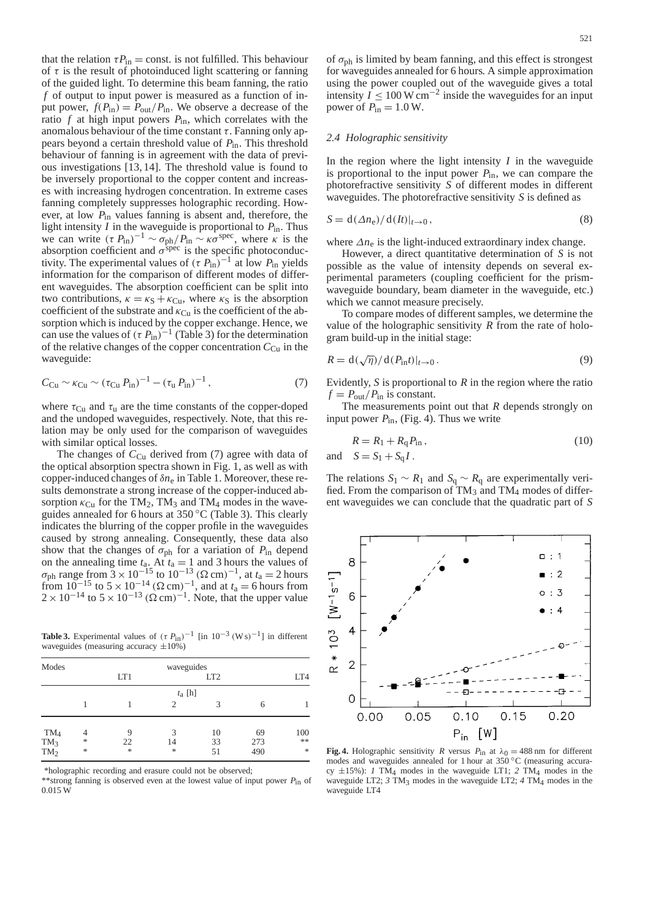that the relation  $\tau P_{\text{in}} = \text{const.}$  is not fulfilled. This behaviour of  $\tau$  is the result of photoinduced light scattering or fanning of the guided light. To determine this beam fanning, the ratio *f* of output to input power is measured as a function of input power,  $f(P_{in}) = P_{out}/P_{in}$ . We observe a decrease of the ratio  $f$  at high input powers  $P_{\text{in}}$ , which correlates with the anomalous behaviour of the time constant  $\tau$ . Fanning only appears beyond a certain threshold value of *P*in. This threshold behaviour of fanning is in agreement with the data of previous investigations [13, 14]. The threshold value is found to be inversely proportional to the copper content and increases with increasing hydrogen concentration. In extreme cases fanning completely suppresses holographic recording. However, at low *P*in values fanning is absent and, therefore, the light intensity *I* in the waveguide is proportional to *P*in. Thus we can write  $(\tau P_{\text{in}})^{-1} \sim \sigma_{\text{ph}}/P_{\text{in}} \sim \kappa \sigma^{\text{spec}}$ , where  $\kappa$  is the absorption coefficient and  $\sigma^{\text{spec}}$  is the specific photoconductivity. The experimental values of  $(\tau P_{\text{in}})^{-1}$  at low  $P_{\text{in}}$  yields information for the comparison of different modes of different waveguides. The absorption coefficient can be split into two contributions,  $\kappa = \kappa_S + \kappa_{Cu}$ , where  $\kappa_S$  is the absorption coefficient of the substrate and  $\kappa_{\text{Cu}}$  is the coefficient of the absorption which is induced by the copper exchange. Hence, we can use the values of ( $\tau P_{\text{in}}$ )<sup>-1</sup> (Table 3) for the determination of the relative changes of the copper concentration  $C_{Cu}$  in the waveguide:

$$
C_{\text{Cu}} \sim \kappa_{\text{Cu}} \sim (\tau_{\text{Cu}} P_{\text{in}})^{-1} - (\tau_{\text{u}} P_{\text{in}})^{-1}, \tag{7}
$$

where  $\tau_{\text{Cu}}$  and  $\tau_{\text{u}}$  are the time constants of the copper-doped and the undoped waveguides, respectively. Note, that this relation may be only used for the comparison of waveguides with similar optical losses.

The changes of  $C_{Cu}$  derived from (7) agree with data of the optical absorption spectra shown in Fig. 1, as well as with copper-induced changes of δ*n*<sup>e</sup> in Table 1. Moreover, these results demonstrate a strong increase of the copper-induced absorption  $\kappa_{\text{Cu}}$  for the TM<sub>2</sub>, TM<sub>3</sub> and TM<sub>4</sub> modes in the waveguides annealed for 6 hours at  $350\,^{\circ}\text{C}$  (Table 3). This clearly indicates the blurring of the copper profile in the waveguides caused by strong annealing. Consequently, these data also show that the changes of  $\sigma_{ph}$  for a variation of  $P_{in}$  depend on the annealing time  $t_a$ . At  $t_a = 1$  and 3 hours the values of  $\sigma_{\rm ph}$  range from  $3 \times 10^{-15}$  to  $10^{-13}$  (Ω cm)<sup>-1</sup>, at  $t_a = 2$  hours from  $10^{-15}$  to  $5 \times 10^{-14}$  ( $\Omega$  cm)<sup>-1</sup>, and at  $t_a = 6$  hours from  $2 \times 10^{-14}$  to  $5 \times 10^{-13}$  ( $\Omega$  cm)<sup>-1</sup>. Note, that the upper value

**Table 3.** Experimental values of  $(\tau P_{\text{in}})^{-1}$  [in 10<sup>-3</sup> (W s)<sup>-1</sup>] in different waveguides (measuring accuracy  $\pm 10\%$ )

| Modes            |                                |              | waveguides    |                 |            |                     |  |
|------------------|--------------------------------|--------------|---------------|-----------------|------------|---------------------|--|
|                  |                                | LT1          |               | LT <sub>2</sub> |            | LT4                 |  |
|                  |                                | $t_a$ [h]    |               |                 |            |                     |  |
|                  |                                |              | $\mathcal{D}$ | 3               | 6          |                     |  |
| $TM_4$           | 4                              | 9            | 3             | 10              | 69         | 100                 |  |
| $TM_3$<br>$TM_2$ | $\frac{1}{2}$<br>$\frac{1}{2}$ | 22<br>$\ast$ | 14<br>*       | 33<br>51        | 273<br>490 | **<br>$\frac{1}{2}$ |  |

\*holographic recording and erasure could not be observed;

\*\*strong fanning is observed even at the lowest value of input power *P*in of 0.015 W

of  $\sigma_{ph}$  is limited by beam fanning, and this effect is strongest for waveguides annealed for 6 hours. A simple approximation using the power coupled out of the waveguide gives a total intensity  $I \leq 100 \,\mathrm{W\,cm^{-2}}$  inside the waveguides for an input power of  $P_{\text{in}} = 1.0$  W.

# *2.4 Holographic sensitivity*

In the region where the light intensity  $I$  in the waveguide is proportional to the input power  $P_{\text{in}}$ , we can compare the photorefractive sensitivity *S* of different modes in different waveguides. The photorefractive sensitivity *S* is defined as

$$
S = d(\Delta n_e)/d(It)|_{t \to 0},\tag{8}
$$

where  $\Delta n_e$  is the light-induced extraordinary index change.

However, a direct quantitative determination of *S* is not possible as the value of intensity depends on several experimental parameters (coupling coefficient for the prismwaveguide boundary, beam diameter in the waveguide, etc.) which we cannot measure precisely.

To compare modes of different samples, we determine the value of the holographic sensitivity *R* from the rate of hologram build-up in the initial stage:

$$
R = d(\sqrt{\eta})/d(P_{\text{in}}t)|_{t \to 0}.
$$
\n(9)

Evidently, *S* is proportional to *R* in the region where the ratio  $f = P_{\text{out}}/P_{\text{in}}$  is constant.

The measurements point out that *R* depends strongly on input power  $P_{in}$ , (Fig. 4). Thus we write

$$
R = R_1 + R_q P_{\text{in}},
$$
  
and 
$$
S = S_1 + S_q I.
$$
 (10)

The relations  $S_1 \sim R_1$  and  $S_q \sim R_q$  are experimentally verified. From the comparison of  $TM_3$  and TM<sub>4</sub> modes of different waveguides we can conclude that the quadratic part of *S*



**Fig. 4.** Holographic sensitivity *R* versus  $P_{\text{in}}$  at  $\lambda_0 = 488 \text{ nm}$  for different modes and waveguides annealed for 1 hour at 350 °C (measuring accuracy  $\pm 15\%$ ): *1* TM<sub>4</sub> modes in the waveguide LT1; 2 TM<sub>4</sub> modes in the waveguide LT2;  $3 \text{ TM}_3$  modes in the waveguide LT2;  $4 \text{ TM}_4$  modes in the waveguide LT4